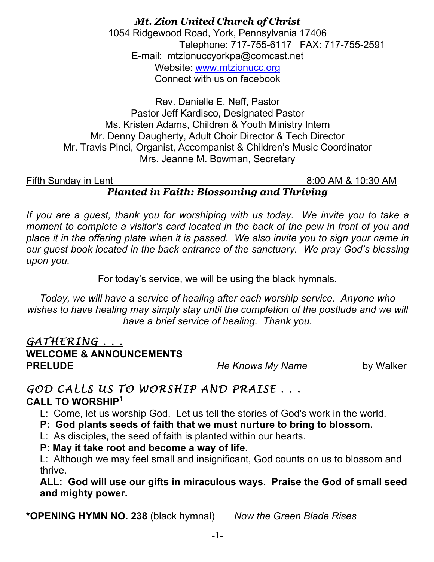### *Mt. Zion United Church of Christ* 1054 Ridgewood Road, York, Pennsylvania 17406 Telephone: 717-755-6117 FAX: 717-755-2591 E-mail: mtzionuccyorkpa@comcast.net Website: www.mtzionucc.org Connect with us on facebook

Rev. Danielle E. Neff, Pastor Pastor Jeff Kardisco, Designated Pastor Ms. Kristen Adams, Children & Youth Ministry Intern Mr. Denny Daugherty, Adult Choir Director & Tech Director Mr. Travis Pinci, Organist, Accompanist & Children's Music Coordinator Mrs. Jeanne M. Bowman, Secretary

### Fifth Sunday in Lent 200 AM & 10:30 AM *Planted in Faith: Blossoming and Thriving*

If you are a guest, thank you for worshiping with us today. We invite you to take a *moment to complete a visitor's card located in the back of the pew in front of you and place it in the offering plate when it is passed. We also invite you to sign your name in our guest book located in the back entrance of the sanctuary. We pray God's blessing upon you.*

For today's service, we will be using the black hymnals.

*Today, we will have a service of healing after each worship service. Anyone who wishes to have healing may simply stay until the completion of the postlude and we will have a brief service of healing. Thank you.*

# *GATHERING . . .* **WELCOME & ANNOUNCEMENTS PRELUDE** *He Knows My Name* by Walker

# *GOD CALLS US TO WORSHIP AND PRAISE . . .*

# **CALL TO WORSHIP<sup>1</sup>**

L: Come, let us worship God. Let us tell the stories of God's work in the world.

 **P: God plants seeds of faith that we must nurture to bring to blossom.**

L: As disciples, the seed of faith is planted within our hearts.

 **P: May it take root and become a way of life.**

 L: Although we may feel small and insignificant, God counts on us to blossom and thrive.

 **ALL: God will use our gifts in miraculous ways. Praise the God of small seed and mighty power.**

**\*OPENING HYMN NO. 238** (black hymnal) *Now the Green Blade Rises*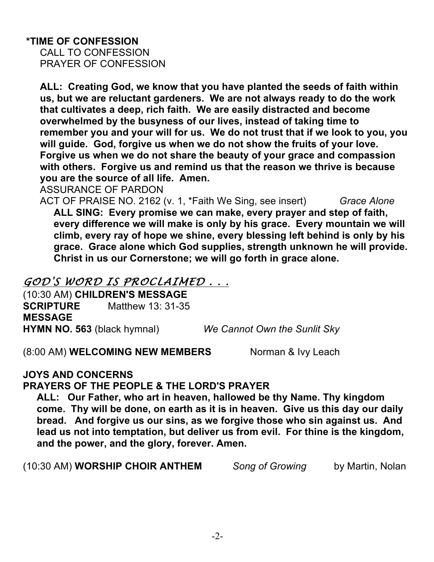### **\*TIME OF CONFESSION**

 CALL TO CONFESSION PRAYER OF CONFESSION

 **ALL: Creating God, we know that you have planted the seeds of faith within us, but we are reluctant gardeners. We are not always ready to do the work that cultivates a deep, rich faith. We are easily distracted and become overwhelmed by the busyness of our lives, instead of taking time to remember you and your will for us. We do not trust that if we look to you, you will guide. God, forgive us when we do not show the fruits of your love. Forgive us when we do not share the beauty of your grace and compassion with others. Forgive us and remind us that the reason we thrive is because you are the source of all life. Amen.**

ASSURANCE OF PARDON

 ACT OF PRAISE NO. 2162 (v. 1, \*Faith We Sing, see insert) *Grace Alone*  **ALL SING: Every promise we can make, every prayer and step of faith, every difference we will make is only by his grace. Every mountain we will climb, every ray of hope we shine, every blessing left behind is only by his grace. Grace alone which God supplies, strength unknown he will provide. Christ in us our Cornerstone; we will go forth in grace alone.**

### *GOD'S WORD IS PROCLAIMED . . .*

(10:30 AM) **CHILDREN'S MESSAGE SCRIPTURE** Matthew 13: 31-35 **MESSAGE HYMN NO. 563** (black hymnal) *We Cannot Own the Sunlit Sky*

(8:00 AM) **WELCOMING NEW MEMBERS** Norman & Ivy Leach

**JOYS AND CONCERNS**

**PRAYERS OF THE PEOPLE & THE LORD'S PRAYER**

 **ALL: Our Father, who art in heaven, hallowed be thy Name. Thy kingdom come. Thy will be done, on earth as it is in heaven. Give us this day our daily bread. And forgive us our sins, as we forgive those who sin against us. And lead us not into temptation, but deliver us from evil. For thine is the kingdom, and the power, and the glory, forever. Amen.**

(10:30 AM) **WORSHIP CHOIR ANTHEM** *Song of Growing* by Martin, Nolan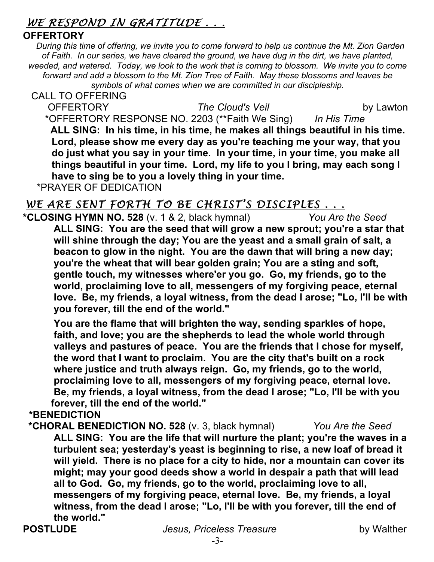# *WE RESPOND IN GRATITUDE . . .*

### **OFFERTORY**

*During this time of offering, we invite you to come forward to help us continue the Mt. Zion Garden of Faith. In our series, we have cleared the ground, we have dug in the dirt, we have planted, weeded, and watered. Today, we look to the work that is coming to blossom. We invite you to come forward and add a blossom to the Mt. Zion Tree of Faith. May these blossoms and leaves be symbols of what comes when we are committed in our discipleship.*

 CALL TO OFFERING OFFERTORY *The Cloud's Veil* by Lawton \*OFFERTORY RESPONSE NO. 2203 (\*\*Faith We Sing) *In His Time* **ALL SING: In his time, in his time, he makes all things beautiful in his time. Lord, please show me every day as you're teaching me your way, that you do just what you say in your time. In your time, in your time, you make all things beautiful in your time. Lord, my life to you I bring, may each song I have to sing be to you a lovely thing in your time.** 

\*PRAYER OF DEDICATION

# WE ARE SENT FORTH TO BE CHRIST'S DISCIPLES . . .

**\*CLOSING HYMN NO. 528** (v. 1 & 2, black hymnal) *You Are the Seed*   **ALL SING: You are the seed that will grow a new sprout; you're a star that will shine through the day; You are the yeast and a small grain of salt, a beacon to glow in the night. You are the dawn that will bring a new day; you're the wheat that will bear golden grain; You are a sting and soft, gentle touch, my witnesses where'er you go. Go, my friends, go to the world, proclaiming love to all, messengers of my forgiving peace, eternal love. Be, my friends, a loyal witness, from the dead I arose; "Lo, I'll be with you forever, till the end of the world."** 

 **You are the flame that will brighten the way, sending sparkles of hope, faith, and love; you are the shepherds to lead the whole world through valleys and pastures of peace. You are the friends that I chose for myself, the word that I want to proclaim. You are the city that's built on a rock where justice and truth always reign. Go, my friends, go to the world, proclaiming love to all, messengers of my forgiving peace, eternal love. Be, my friends, a loyal witness, from the dead I arose; "Lo, I'll be with you forever, till the end of the world."**

### **\*BENEDICTION**

 **\*CHORAL BENEDICTION NO. 528** (v. 3, black hymnal) *You Are the Seed* **ALL SING: You are the life that will nurture the plant; you're the waves in a turbulent sea; yesterday's yeast is beginning to rise, a new loaf of bread it will yield. There is no place for a city to hide, nor a mountain can cover its might; may your good deeds show a world in despair a path that will lead all to God. Go, my friends, go to the world, proclaiming love to all, messengers of my forgiving peace, eternal love. Be, my friends, a loyal witness, from the dead I arose; "Lo, I'll be with you forever, till the end of the world."**

**POSTLUDE** *Jesus, Priceless Treasure* by Walther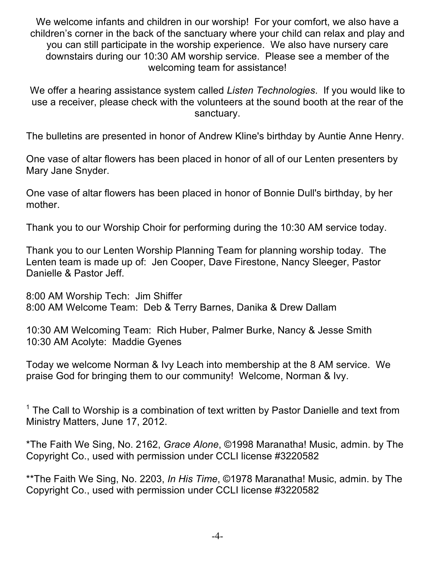We welcome infants and children in our worship! For your comfort, we also have a children's corner in the back of the sanctuary where your child can relax and play and you can still participate in the worship experience. We also have nursery care downstairs during our 10:30 AM worship service. Please see a member of the welcoming team for assistance!

We offer a hearing assistance system called *Listen Technologies*. If you would like to use a receiver, please check with the volunteers at the sound booth at the rear of the sanctuary.

The bulletins are presented in honor of Andrew Kline's birthday by Auntie Anne Henry.

One vase of altar flowers has been placed in honor of all of our Lenten presenters by Mary Jane Snyder.

One vase of altar flowers has been placed in honor of Bonnie Dull's birthday, by her mother.

Thank you to our Worship Choir for performing during the 10:30 AM service today.

Thank you to our Lenten Worship Planning Team for planning worship today. The Lenten team is made up of: Jen Cooper, Dave Firestone, Nancy Sleeger, Pastor Danielle & Pastor Jeff.

8:00 AM Worship Tech: Jim Shiffer 8:00 AM Welcome Team: Deb & Terry Barnes, Danika & Drew Dallam

10:30 AM Welcoming Team: Rich Huber, Palmer Burke, Nancy & Jesse Smith 10:30 AM Acolyte: Maddie Gyenes

Today we welcome Norman & Ivy Leach into membership at the 8 AM service. We praise God for bringing them to our community! Welcome, Norman & Ivy.

 $1$  The Call to Worship is a combination of text written by Pastor Danielle and text from Ministry Matters, June 17, 2012.

\*The Faith We Sing, No. 2162, *Grace Alone*, ©1998 Maranatha! Music, admin. by The Copyright Co., used with permission under CCLI license #3220582

\*\*The Faith We Sing, No. 2203, *In His Time*, ©1978 Maranatha! Music, admin. by The Copyright Co., used with permission under CCLI license #3220582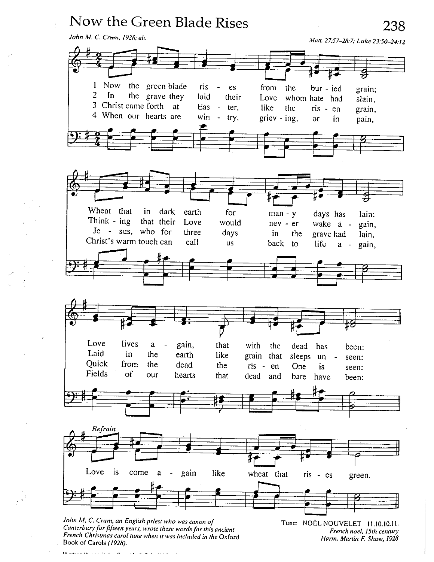

Canterbury for fifteen years, wrote these words for this ancient French Christmas carol tune when it was included in the Oxford Book of Carols (1928).

French noel, 15th century Harm. Martin F. Shaw, 1928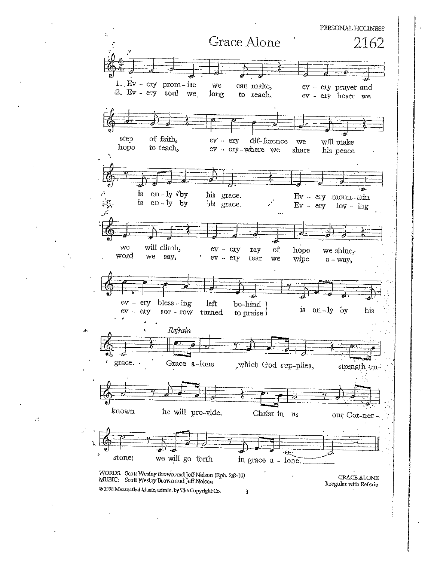PERSONAL HOLINESS Grace Alone 2162 1.  $Ev - evy$  prom-ise we can make, ev - ery prayer and 2. By - ery soul we long to reach, ev - ery heart we step of faith, dif-ference ey - ery will make we hope to teach, ev - ery-where we share his peace is  $on - ly$  vby his grace. By - ery moun-tain on-ly by is his grace.  $By - erg$  $\text{lov} - \text{ing}$ we will climb, ev - ery ray of hope we shine, word we say, ev - ery tear we wipe a - way,  $ev - \text{cry}$  $bless - ing$ left be-hind is on-ly by his  $ev - evy$  $80r - row$ turned to praise i Refrain  $\ddot{\mathbf{z}}$  $\mathbf{r}$ grace. Grace a-lone , which God sup-plies, strength unknown he will pro-vide. Christ in us our Cor-ner- $\overline{\odot}$ Ŷ. stone; we will go forth in grace a - lone. WORDS: Scott Wesley Brown and Jeff Nelson (Rph. 2:8-10)<br>MUSIC: Scott Wesley Brown and Jeff Nelson **GRACE ALONE** Irregular with Refrain @ 1998 Maranathul Music, admin. by The Copyright Co. Ĵ

 $\mathcal{C}$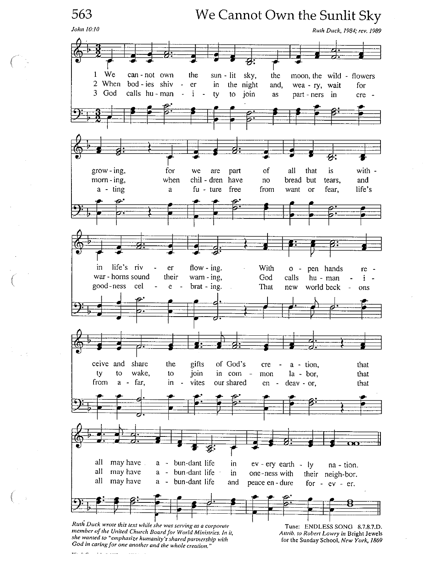563 We Cannot Own the Sunlit Sky John 10:10 Ruth Duck, 1984; rev. 1989 We  $\mathbf{1}$ can-not own the sun - lit sky, the moon, the wild - flowers 2 When bod - ies shiv  $\blacksquare$ er in the night and, wea - ry, wait for  $3<sup>1</sup>$ God calls hu - man  $\ddot{\phantom{0}}$ Ť. to join  $\sim$ ty as part - ners in  $cre$ of  $grow - ing$ , for we are part all that is with morn-ing, when chil - dren have no bread but tears, and  $a - t$ ing  $fu - tur$ free life's a from want  $\alpha$ fear, life's riv in flow  $-$  ing. er With  $\mathbf 0$  $\sim$ pen hands re war - horns sound their  $wan - ing$ , God calls hu - man  $\mathbf{i}$ good-ness cel  $brat - ing.$ e  $\overline{a}$ That new world beck  $\sim$ ons share ceive and the gifts of God's  $a - tion$ , that cre wake, to join in com ty to  $\sim$ mon  $la - bor,$ that from far, in vites our shared a  $\overline{\phantom{a}}$  $en$ deav - or, that  $\sim$ all may have bun-dant life in a ev - ery earth - ly na - tion. all may have bun-dant life  $\bf a$  $\frac{1}{\sqrt{2}}$ in one-ness with their neigh-bor. all may have a - bun-dant life and peace en - dure for  $-ev - er$ . Ruth Duck wrote this text while she was serving as a corporate Tune: ENDLESS SONG 8.7.8.7.D. member of the United Church Board for World Ministries. In it, Attrib. to Robert Lowry in Bright Jewels she wanted to "emphasize humanity's shared partnership with for the Sunday School, New York, 1869 God in caring for one another and the whole creation."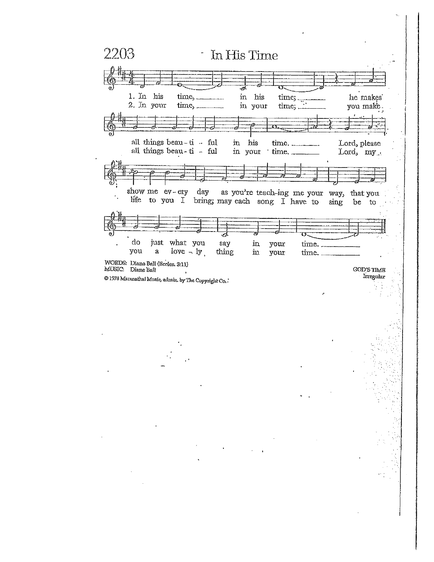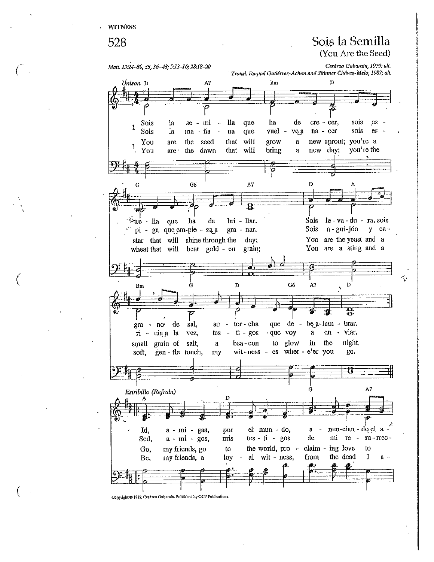#### 528

### Sois la Semilla (You Are the Seed)

Cesáreo Gabarain, 1979; alt.

 $\sigma_{\rm p}$